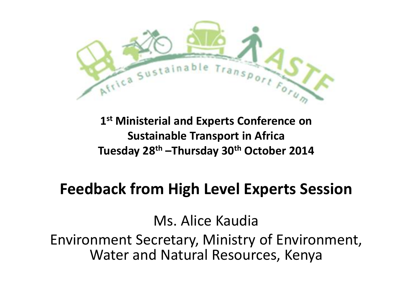

### **1 st Ministerial and Experts Conference on Sustainable Transport in Africa Tuesday 28th –Thursday 30th October 2014**

### **Feedback from High Level Experts Session**

Ms. Alice Kaudia

Environment Secretary, Ministry of Environment, Water and Natural Resources, Kenya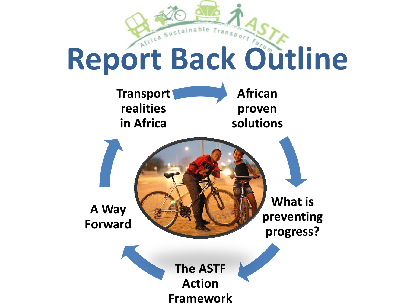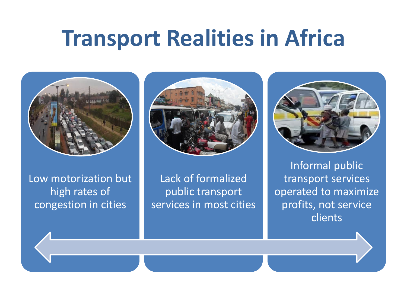# **Transport Realities in Africa**



Low motorization but high rates of congestion in cities



Lack of formalized public transport services in most cities



Informal public transport services operated to maximize profits, not service clients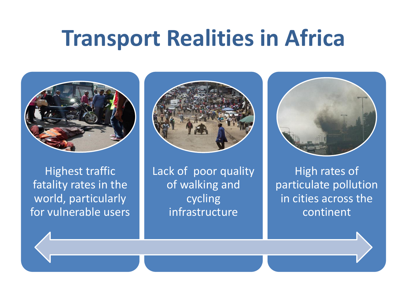# **Transport Realities in Africa**



Highest traffic fatality rates in the world, particularly for vulnerable users



Lack of poor quality of walking and cycling infrastructure



High rates of particulate pollution in cities across the continent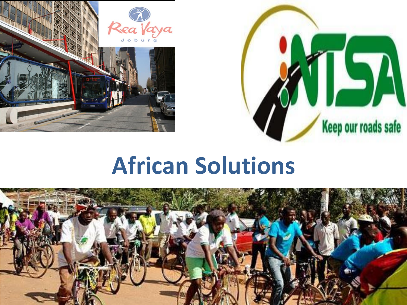



# **African Solutions**

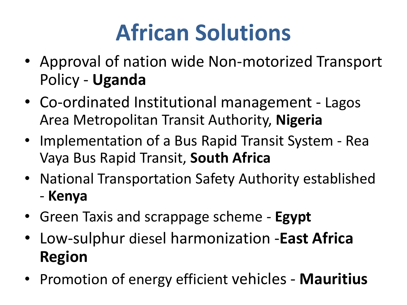# **African Solutions**

- Approval of nation wide Non-motorized Transport Policy - **Uganda**
- Co-ordinated Institutional management Lagos Area Metropolitan Transit Authority, **Nigeria**
- Implementation of a Bus Rapid Transit System Rea Vaya Bus Rapid Transit, **South Africa**
- National Transportation Safety Authority established - **Kenya**
- Green Taxis and scrappage scheme **Egypt**
- Low-sulphur diesel harmonization -**East Africa Region**
- Promotion of energy efficient vehicles **Mauritius**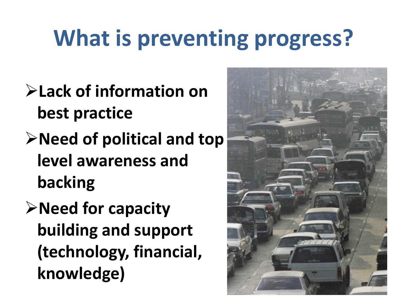# **What is preventing progress?**

- **Lack of information on best practice**
- **Need of political and top level awareness and backing**
- **Need for capacity building and support (technology, financial, knowledge)**

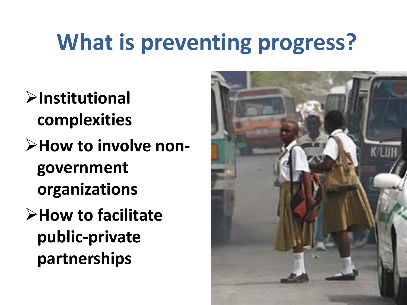# **What is preventing progress?**

- **Institutional complexities**
- **How to involve nongovernment organizations**
- **How to facilitate public-private partnerships**

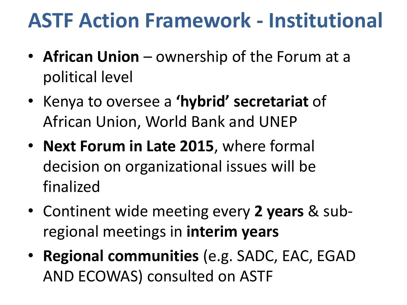## **ASTF Action Framework - Institutional**

- **African Union**  ownership of the Forum at a political level
- Kenya to oversee a **'hybrid' secretariat** of African Union, World Bank and UNEP
- **Next Forum in Late 2015**, where formal decision on organizational issues will be finalized
- Continent wide meeting every **2 years** & subregional meetings in **interim years**
- **Regional communities** (e.g. SADC, EAC, EGAD AND ECOWAS) consulted on ASTF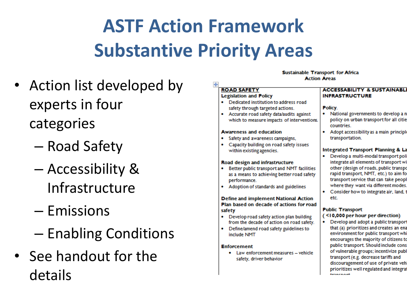# **ASTF Action Framework Substantive Priority Areas**

- Action list developed by experts in four categories
	- Road Safety
	- Accessibility & Infrastructure
	- Emissions
	- Enabling Conditions
- See handout for the details

#### Sustainable Transport for Africa **Action Areas**

#### **ROAD SAFETY**

#### **Legislation and Policy**

- Dedicated institution to address road safety through targeted actions.
- Accurate road safety data/audits against which to measure impacts of interventions.

#### **Awareness and education**

- Safety and awareness campaigns,
- Capacity building on road safety issues within existing agencies.

#### Road design and infrastructure

- Better public transport and NMT facilities as a means to achieving better road safety performance.
- Adoption of standards and guidelines

Define and implement National Action Plan based on decade of actions for road safety

- Develop road safety action plan building from the decade of action on road safety.
- Define/amend road safety guidelines to include NMT

#### **Enforcement**

• Law enforcement measures - vehicle safety, driver behavior

#### **ACCESSABILITY & SUSTAINABLI INFRASTRUCTURE**

#### Policy.

- National governments to develop a n policy on urban transport for all citie countries.
- Adopt accessibility as a main principle transportation.

#### Integrated Transport Planning & La

- · Develop a multi-modal transport pol integrate all elements of transport wi other (design of roads, public transpo rapid transport, NMT, etc.) to aim fo transport service that can take peopl where they want via different modes.
- Consider how to integrate air, land, t etc.

#### **Public Transport**

#### (<10,000 per hour per direction)

Develop and adopt a public transport that (a) prioritizes and creates an ena environment for public transport whi encourages the majority of citizens to public transport. Should include cons of vulnerable groups; incentivize publ transport (e.g. decrease tariffs and discouragement of use of private veh prioritizes well regulated and integra